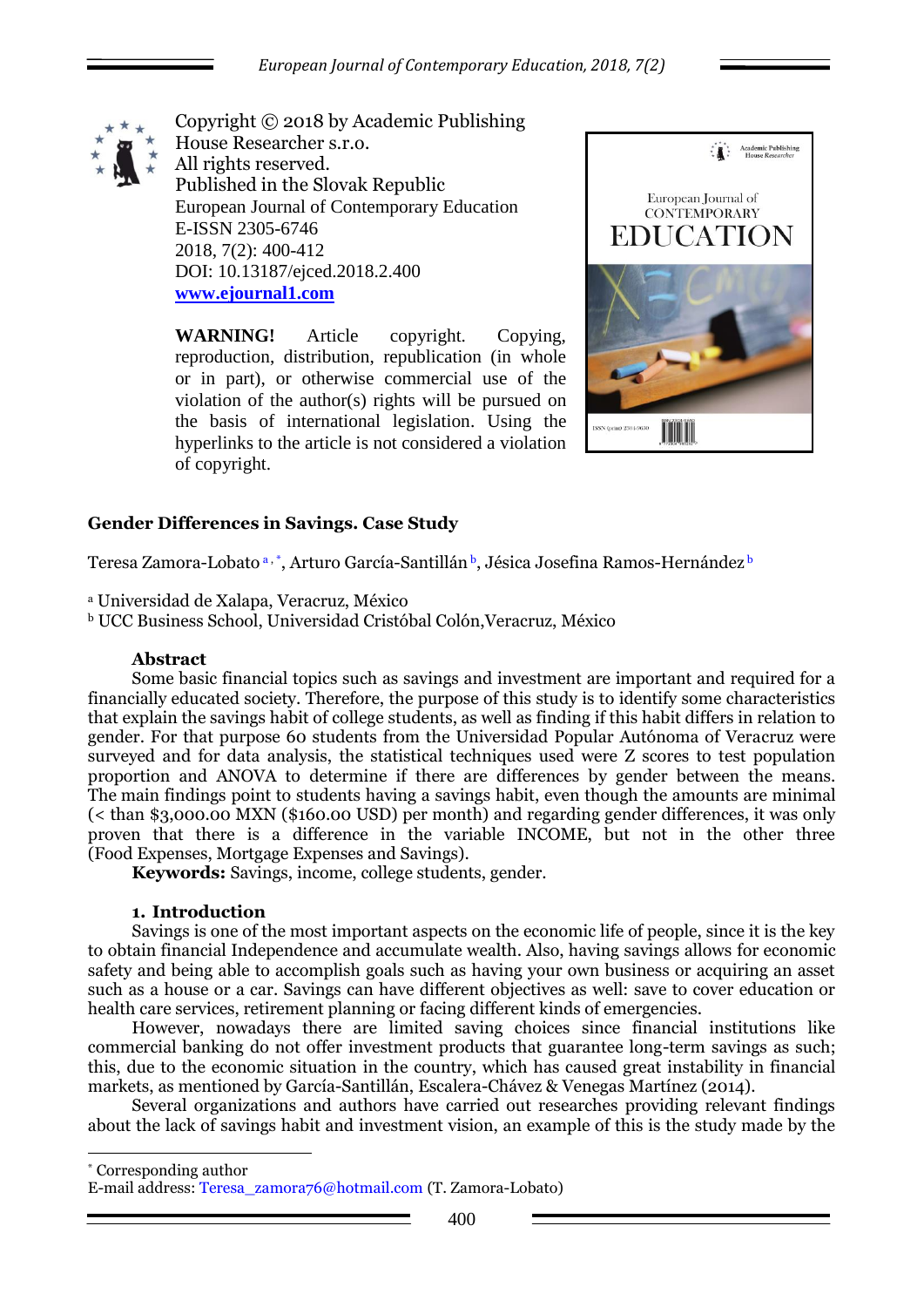

Copyright © 2018 by Academic Publishing House Researcher s.r.o. All rights reserved. Published in the Slovak Republic European Journal of Contemporary Education E-ISSN 2305-6746 2018, 7(2): 400-412 DOI: 10.13187/ejced.2018.2.400 **[www.ejournal1.com](http://www.ejournal1.com/)**

**WARNING!** Article copyright. Copying, reproduction, distribution, republication (in whole or in part), or otherwise commercial use of the violation of the author(s) rights will be pursued on the basis of international legislation. Using the hyperlinks to the article is not considered a violation of copyright.



# **Gender Differences in Savings. Case Study**

Teresa Zamora-Lobato a, \*, Arturo García-Santillán <sup>b</sup>, Jésica Josefina Ramos-Hernández <sup>b</sup>

<sup>a</sup> Universidad de Xalapa, Veracruz, México

<sup>b</sup> UCC Business School, Universidad Cristóbal Colón,Veracruz, México

#### **Abstract**

Some basic financial topics such as savings and investment are important and required for a financially educated society. Therefore, the purpose of this study is to identify some characteristics that explain the savings habit of college students, as well as finding if this habit differs in relation to gender. For that purpose 60 students from the Universidad Popular Autónoma of Veracruz were surveyed and for data analysis, the statistical techniques used were Z scores to test population proportion and ANOVA to determine if there are differences by gender between the means. The main findings point to students having a savings habit, even though the amounts are minimal (< than \$3,000.00 MXN (\$160.00 USD) per month) and regarding gender differences, it was only proven that there is a difference in the variable INCOME, but not in the other three (Food Expenses, Mortgage Expenses and Savings).

**Keywords:** Savings, income, college students, gender.

#### **1.** Introduction

Savings is one of the most important aspects on the economic life of people, since it is the key to obtain financial Independence and accumulate wealth. Also, having savings allows for economic safety and being able to accomplish goals such as having your own business or acquiring an asset such as a house or a car. Savings can have different objectives as well: save to cover education or health care services, retirement planning or facing different kinds of emergencies.

However, nowadays there are limited saving choices since financial institutions like commercial banking do not offer investment products that guarantee long-term savings as such; this, due to the economic situation in the country, which has caused great instability in financial markets, as mentioned by García-Santillán, Escalera-Chávez & Venegas Martínez (2014).

Several organizations and authors have carried out researches providing relevant findings about the lack of savings habit and investment vision, an example of this is the study made by the

\* Corresponding author

1

E-mail address: Teresa\_zamora76@hotmail.com (T. Zamora-Lobato)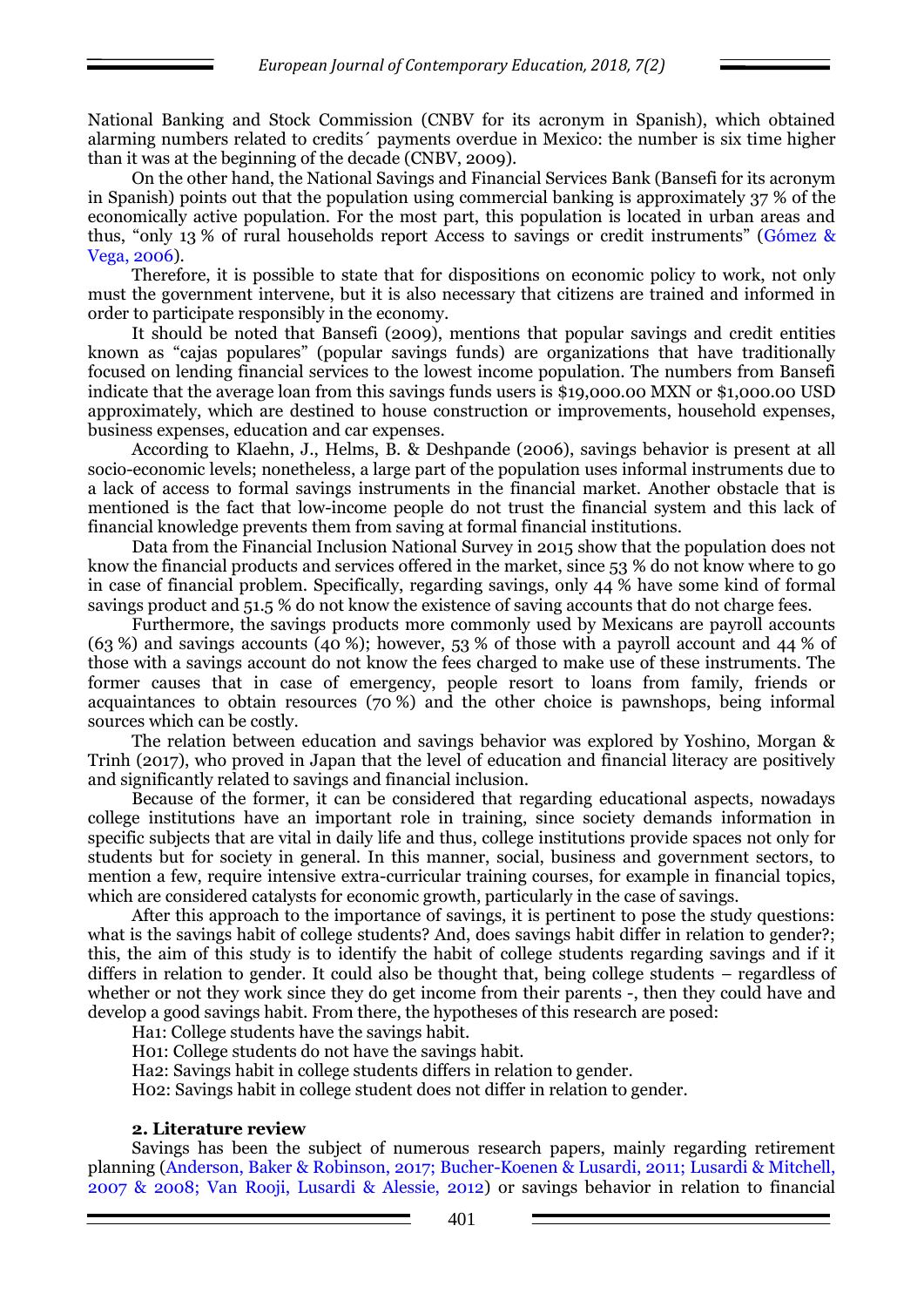National Banking and Stock Commission (CNBV for its acronym in Spanish), which obtained alarming numbers related to credits´ payments overdue in Mexico: the number is six time higher than it was at the beginning of the decade (CNBV, 2009).

On the other hand, the National Savings and Financial Services Bank (Bansefi for its acronym in Spanish) points out that the population using commercial banking is approximately 37 % of the economically active population. For the most part, this population is located in urban areas and thus, "only 13 % of rural households report Access to savings or credit instruments" (Gómez & Vega, 2006).

Therefore, it is possible to state that for dispositions on economic policy to work, not only must the government intervene, but it is also necessary that citizens are trained and informed in order to participate responsibly in the economy.

It should be noted that Bansefi (2009), mentions that popular savings and credit entities known as "cajas populares" (popular savings funds) are organizations that have traditionally focused on lending financial services to the lowest income population. The numbers from Bansefi indicate that the average loan from this savings funds users is \$19,000.00 MXN or \$1,000.00 USD approximately, which are destined to house construction or improvements, household expenses, business expenses, education and car expenses.

According to Klaehn, J., Helms, B. & Deshpande (2006), savings behavior is present at all socio-economic levels; nonetheless, a large part of the population uses informal instruments due to a lack of access to formal savings instruments in the financial market. Another obstacle that is mentioned is the fact that low-income people do not trust the financial system and this lack of financial knowledge prevents them from saving at formal financial institutions.

Data from the Financial Inclusion National Survey in 2015 show that the population does not know the financial products and services offered in the market, since 53 % do not know where to go in case of financial problem. Specifically, regarding savings, only 44 % have some kind of formal savings product and 51.5 % do not know the existence of saving accounts that do not charge fees.

Furthermore, the savings products more commonly used by Mexicans are payroll accounts (63 %) and savings accounts (40 %); however, 53 % of those with a payroll account and 44 % of those with a savings account do not know the fees charged to make use of these instruments. The former causes that in case of emergency, people resort to loans from family, friends or acquaintances to obtain resources (70 %) and the other choice is pawnshops, being informal sources which can be costly.

The relation between education and savings behavior was explored by Yoshino, Morgan & Trinh (2017), who proved in Japan that the level of education and financial literacy are positively and significantly related to savings and financial inclusion.

Because of the former, it can be considered that regarding educational aspects, nowadays college institutions have an important role in training, since society demands information in specific subjects that are vital in daily life and thus, college institutions provide spaces not only for students but for society in general. In this manner, social, business and government sectors, to mention a few, require intensive extra-curricular training courses, for example in financial topics, which are considered catalysts for economic growth, particularly in the case of savings.

After this approach to the importance of savings, it is pertinent to pose the study questions: what is the savings habit of college students? And, does savings habit differ in relation to gender?; this, the aim of this study is to identify the habit of college students regarding savings and if it differs in relation to gender. It could also be thought that, being college students – regardless of whether or not they work since they do get income from their parents -, then they could have and develop a good savings habit. From there, the hypotheses of this research are posed:

Ha1: College students have the savings habit.

H01: College students do not have the savings habit.

Ha2: Savings habit in college students differs in relation to gender.

H02: Savings habit in college student does not differ in relation to gender.

#### **2. Literature review**

Savings has been the subject of numerous research papers, mainly regarding retirement planning (Anderson, Baker & Robinson, 2017; Bucher-Koenen & Lusardi, 2011; Lusardi & Mitchell, 2007 & 2008; Van Rooji, Lusardi & Alessie, 2012) or savings behavior in relation to financial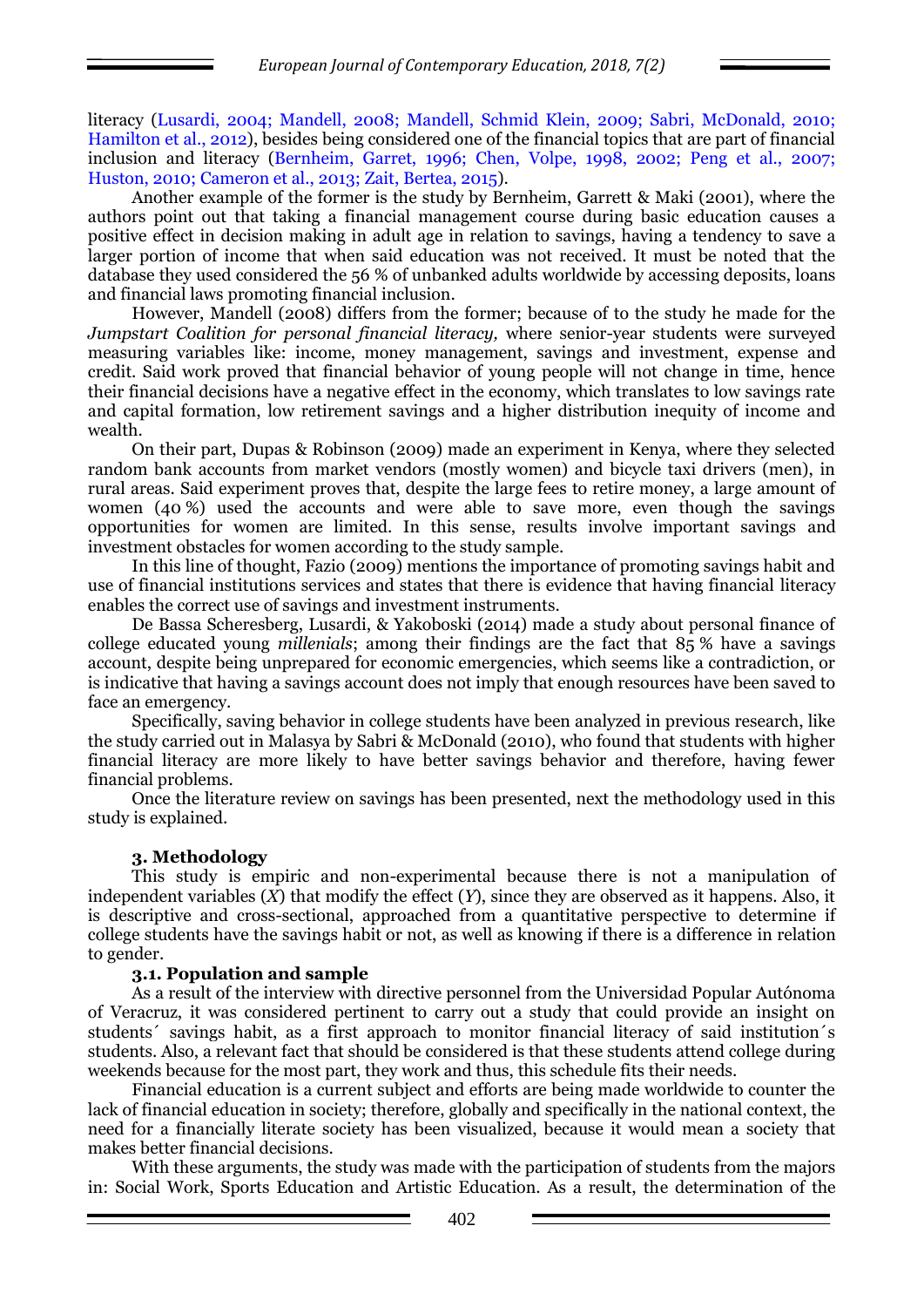literacy (Lusardi, 2004; Mandell, 2008; Mandell, Schmid Klein, 2009; Sabri, McDonald, 2010; Hamilton et al., 2012), besides being considered one of the financial topics that are part of financial inclusion and literacy (Bernheim, Garret, 1996; Chen, Volpe, 1998, 2002; Peng et al., 2007; Huston, 2010; Cameron et al., 2013; Zait, Bertea, 2015).

Another example of the former is the study by Bernheim, Garrett & Maki (2001), where the authors point out that taking a financial management course during basic education causes a positive effect in decision making in adult age in relation to savings, having a tendency to save a larger portion of income that when said education was not received. It must be noted that the database they used considered the 56 % of unbanked adults worldwide by accessing deposits, loans and financial laws promoting financial inclusion.

However, Mandell (2008) differs from the former; because of to the study he made for the *Jumpstart Coalition for personal financial literacy,* where senior-year students were surveyed measuring variables like: income, money management, savings and investment, expense and credit. Said work proved that financial behavior of young people will not change in time, hence their financial decisions have a negative effect in the economy, which translates to low savings rate and capital formation, low retirement savings and a higher distribution inequity of income and wealth.

On their part, Dupas & Robinson (2009) made an experiment in Kenya, where they selected random bank accounts from market vendors (mostly women) and bicycle taxi drivers (men), in rural areas. Said experiment proves that, despite the large fees to retire money, a large amount of women (40 %) used the accounts and were able to save more, even though the savings opportunities for women are limited. In this sense, results involve important savings and investment obstacles for women according to the study sample.

In this line of thought, Fazio (2009) mentions the importance of promoting savings habit and use of financial institutions services and states that there is evidence that having financial literacy enables the correct use of savings and investment instruments.

De Bassa Scheresberg, Lusardi, & Yakoboski (2014) made a study about personal finance of college educated young *millenials*; among their findings are the fact that 85 % have a savings account, despite being unprepared for economic emergencies, which seems like a contradiction, or is indicative that having a savings account does not imply that enough resources have been saved to face an emergency.

Specifically, saving behavior in college students have been analyzed in previous research, like the study carried out in Malasya by Sabri & McDonald (2010), who found that students with higher financial literacy are more likely to have better savings behavior and therefore, having fewer financial problems.

Once the literature review on savings has been presented, next the methodology used in this study is explained.

## **3. Methodology**

This study is empiric and non-experimental because there is not a manipulation of independent variables  $(X)$  that modify the effect  $(Y)$ , since they are observed as it happens. Also, it is descriptive and cross-sectional, approached from a quantitative perspective to determine if college students have the savings habit or not, as well as knowing if there is a difference in relation to gender.

#### **3.1. Population and sample**

As a result of the interview with directive personnel from the Universidad Popular Autónoma of Veracruz, it was considered pertinent to carry out a study that could provide an insight on students´ savings habit, as a first approach to monitor financial literacy of said institution´s students. Also, a relevant fact that should be considered is that these students attend college during weekends because for the most part, they work and thus, this schedule fits their needs.

Financial education is a current subject and efforts are being made worldwide to counter the lack of financial education in society; therefore, globally and specifically in the national context, the need for a financially literate society has been visualized, because it would mean a society that makes better financial decisions.

With these arguments, the study was made with the participation of students from the majors in: Social Work, Sports Education and Artistic Education. As a result, the determination of the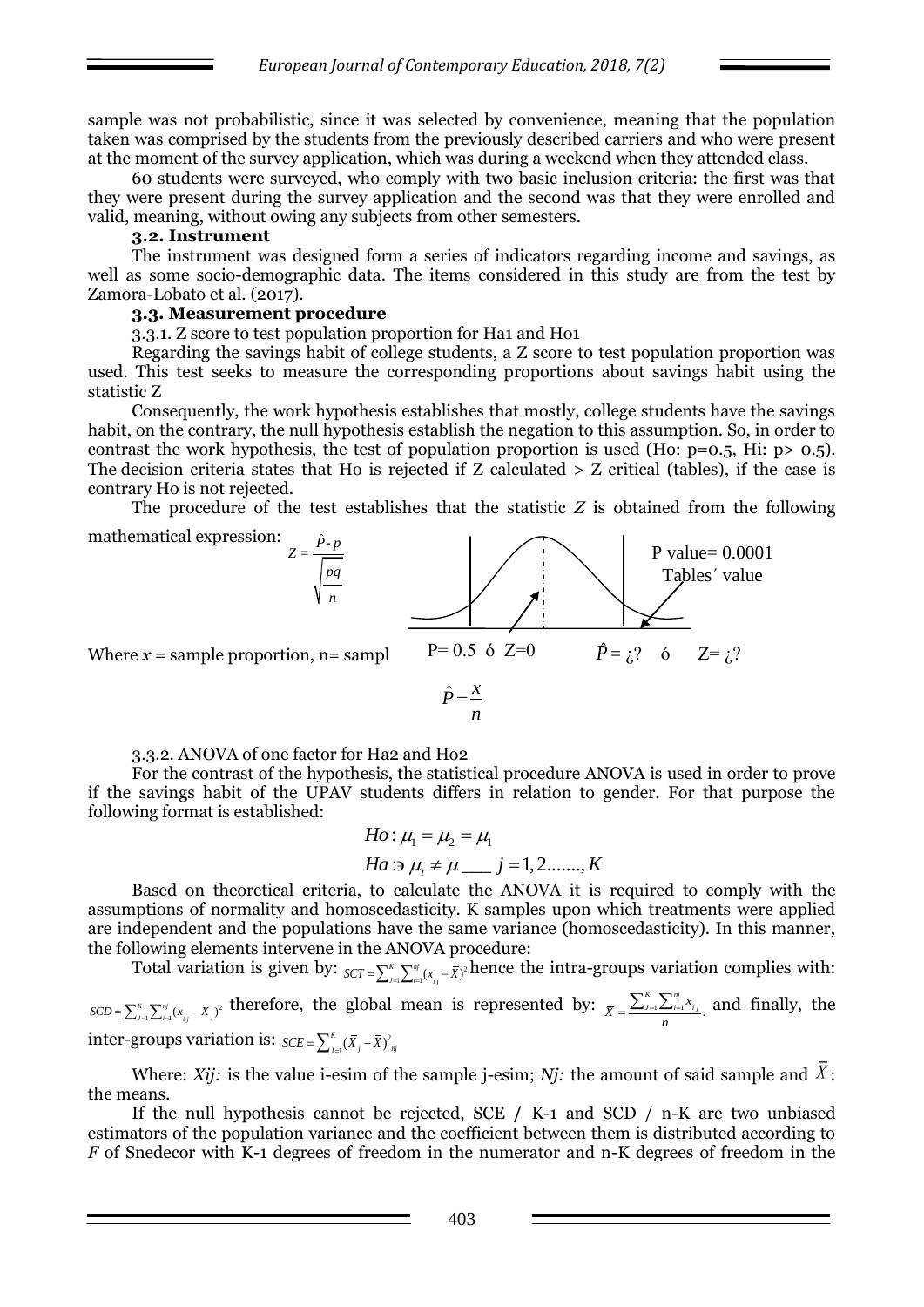sample was not probabilistic, since it was selected by convenience, meaning that the population taken was comprised by the students from the previously described carriers and who were present at the moment of the survey application, which was during a weekend when they attended class.

60 students were surveyed, who comply with two basic inclusion criteria: the first was that they were present during the survey application and the second was that they were enrolled and valid, meaning, without owing any subjects from other semesters.

## **3.2. Instrument**

The instrument was designed form a series of indicators regarding income and savings, as well as some socio-demographic data. The items considered in this study are from the test by Zamora-Lobato et al. (2017).

#### **3.3. Measurement procedure**

3.3.1. Z score to test population proportion for Ha1 and Ho1

Regarding the savings habit of college students, a Z score to test population proportion was used. This test seeks to measure the corresponding proportions about savings habit using the statistic Z

Consequently, the work hypothesis establishes that mostly, college students have the savings habit, on the contrary, the null hypothesis establish the negation to this assumption. So, in order to contrast the work hypothesis, the test of population proportion is used (Ho:  $p=0.5$ , Hi:  $p>0.5$ ). The decision criteria states that Ho is rejected if Z calculated > Z critical (tables), if the case is contrary Ho is not rejected.

The procedure of the test establishes that the statistic *Z* is obtained from the following



3.3.2. ANOVA of one factor for Ha2 and Ho2

For the contrast of the hypothesis, the statistical procedure ANOVA is used in order to prove if the savings habit of the UPAV students differs in relation to gender. For that purpose the following format is established:

*Ho*: 
$$
\mu_1 = \mu_2 = \mu_1
$$
  
\n*Ha*: $\Rightarrow \mu_i \neq \mu$  *— j* = 1, 2, ..., *K*

Based on theoretical criteria, to calculate the ANOVA it is required to comply with the assumptions of normality and homoscedasticity. K samples upon which treatments were applied are independent and the populations have the same variance (homoscedasticity). In this manner, the following elements intervene in the ANOVA procedure:

Total variation is given by:  $_{SCT} = \sum_{j=1}^{K} \sum_{j=1}^{m} (x_{ij} = \overline{X})^2$  hence the intra-groups variation complies with:

 $SCD = \sum_{j=1}^{K} \sum_{i=1}^{nj} (x_{ij} - \bar{X}_j)^2$  therefore, the global mean is represented by:  $\bar{X} = \frac{\sum_{j=1}^{K} \sum_{i=1}^{nj} x_{ij}}{n}$ . *K nj*  $\bar{x} = \frac{\sum_{j=1}^{K} \sum_{i=1}^{nj} x_{ij}}{n}$  and finally, the inter-groups variation is:  $SCE = \sum_{i=1}^{K} (\bar{X}_i - \bar{X})^2$  $SCE = \sum_{J=1}^{K} (\bar{X}_j - \bar{X})^2_{nj}$ 

Where: *Xij*: is the value i-esim of the sample j-esim; *Nj*: the amount of said sample and  $\bar{X}$ : the means.

If the null hypothesis cannot be rejected, SCE **/** K-1 and SCD / n-K are two unbiased estimators of the population variance and the coefficient between them is distributed according to *F* of Snedecor with K-1 degrees of freedom in the numerator and n-K degrees of freedom in the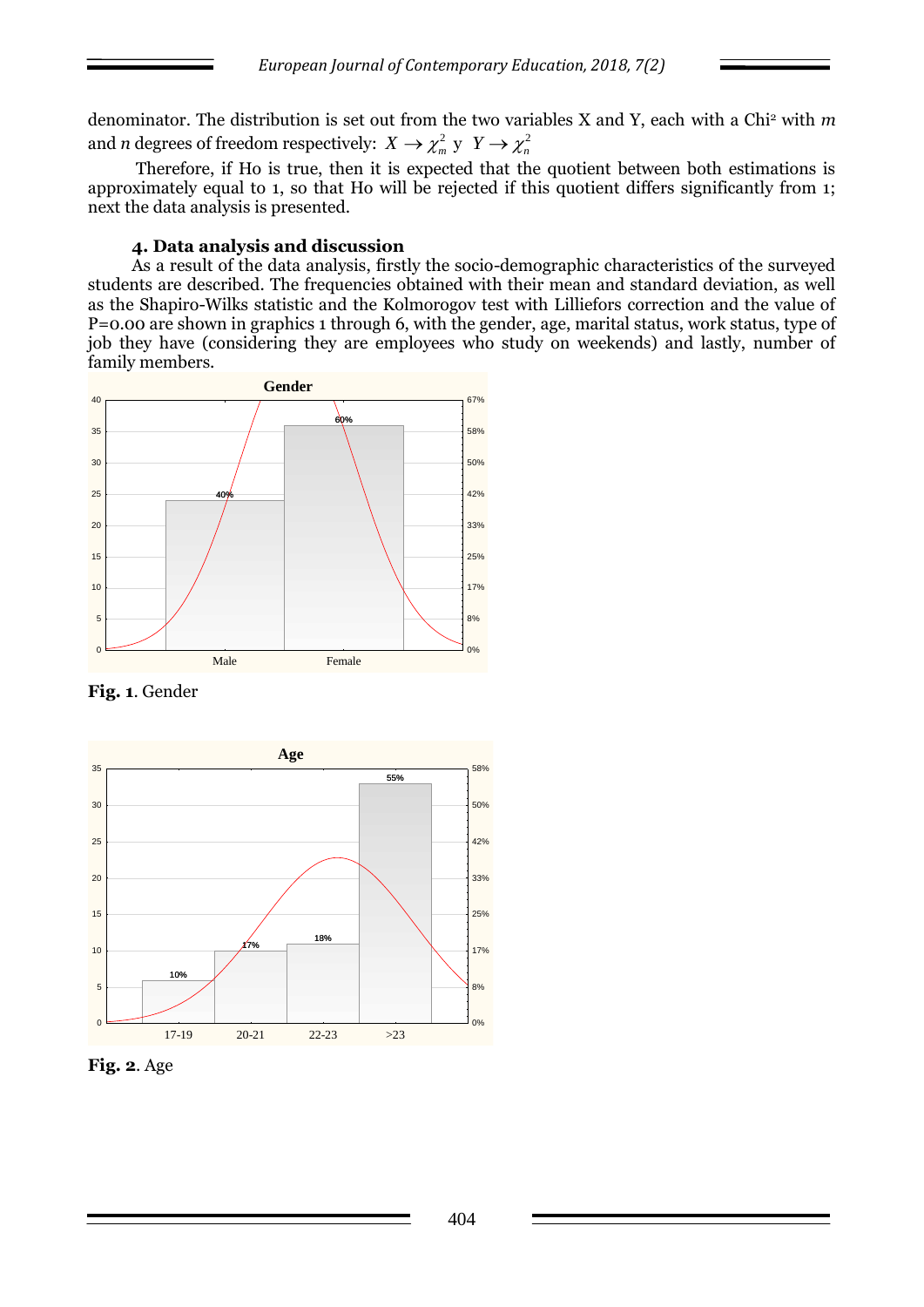denominator. The distribution is set out from the two variables X and Y, each with a Chi<sup>2</sup> with *m* and *n* degrees of freedom respectively:  $X \to \chi^2_m$  y  $Y \to \chi^2_n$ 

Therefore, if Ho is true, then it is expected that the quotient between both estimations is approximately equal to 1, so that Ho will be rejected if this quotient differs significantly from 1; next the data analysis is presented.

#### **4. Data analysis and discussion**

As a result of the data analysis, firstly the socio-demographic characteristics of the surveyed students are described. The frequencies obtained with their mean and standard deviation, as well as the Shapiro-Wilks statistic and the Kolmorogov test with Lilliefors correction and the value of P=0.00 are shown in graphics 1 through 6, with the gender, age, marital status, work status, type of job they have (considering they are employees who study on weekends) and lastly, number of family members.



**Fig. 1**. Gender



**Fig. 2**. Age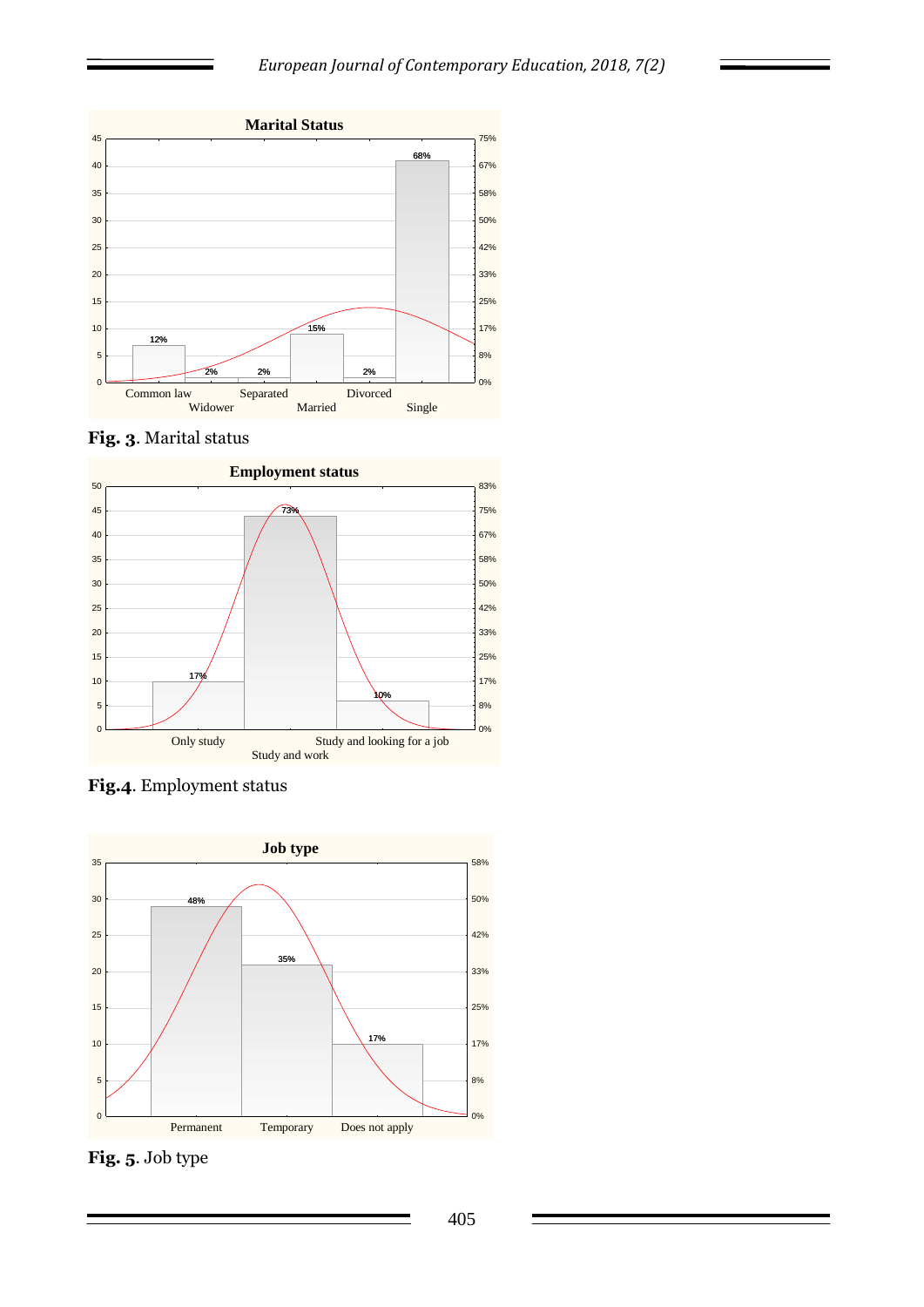





**Fig.4**. Employment status



**Fig. 5**. Job type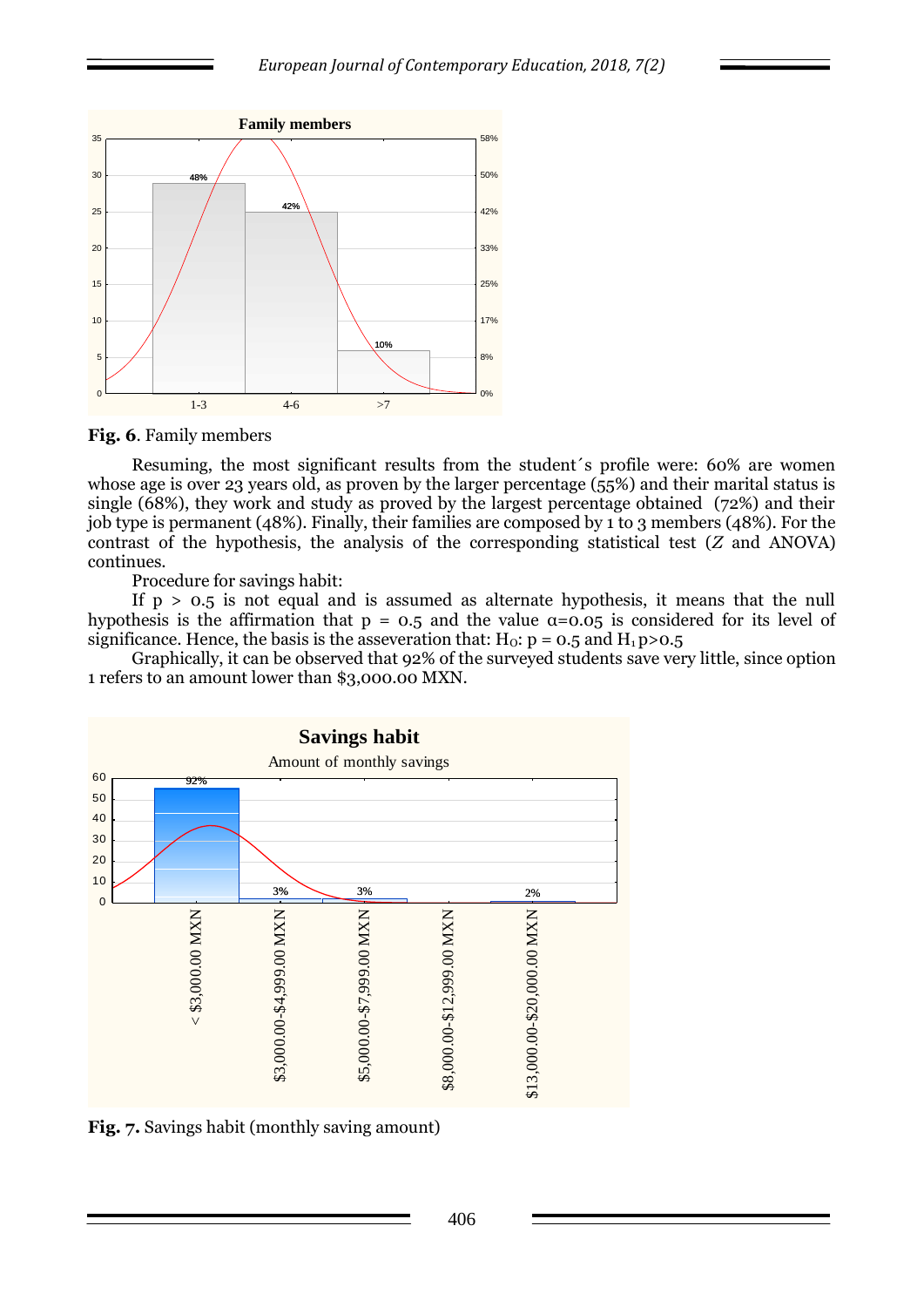

**Fig. 6**. Family members

Resuming, the most significant results from the student´s profile were: 60% are women whose age is over 23 years old, as proven by the larger percentage  $(55%)$  and their marital status is single (68%), they work and study as proved by the largest percentage obtained (72%) and their job type is permanent (48%). Finally, their families are composed by 1 to 3 members (48%). For the contrast of the hypothesis, the analysis of the corresponding statistical test (*Z* and ANOVA) continues.

Procedure for savings habit:

If  $p > 0.5$  is not equal and is assumed as alternate hypothesis, it means that the null hypothesis is the affirmation that  $p = 0.5$  and the value  $\alpha = 0.05$  is considered for its level of significance. Hence, the basis is the asseveration that:  $H_0$ :  $p = 0.5$  and  $H_1 p > 0.5$ 

Graphically, it can be observed that 92% of the surveyed students save very little, since option 1 refers to an amount lower than \$3,000.00 MXN.



**Fig. 7.** Savings habit (monthly saving amount)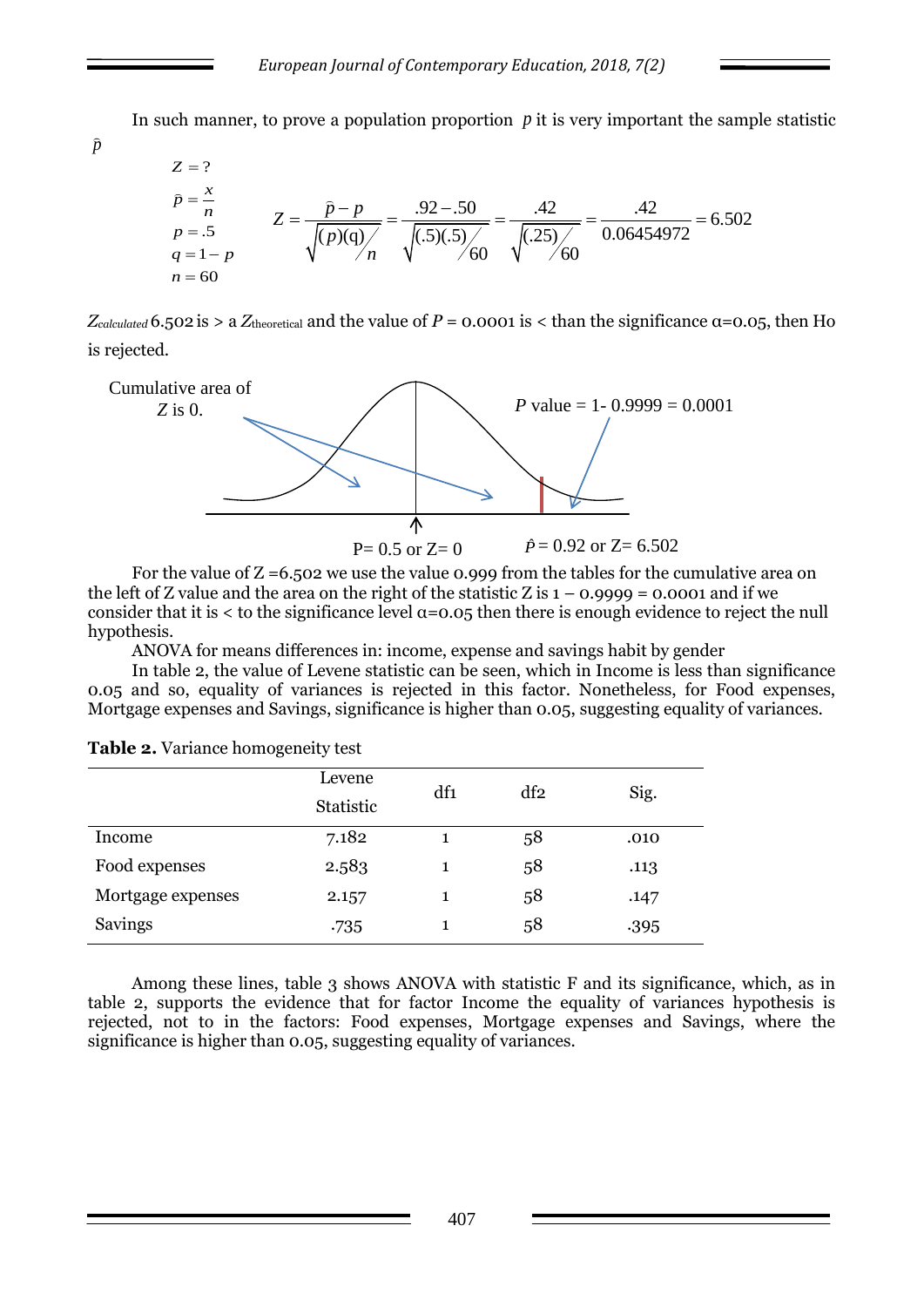In such manner, to prove a population proportion  $p$  it is very important the sample statistic



*Z*<sub>calculated</sub> 6.502 is > a *Z*<sub>theoretical</sub> and the value of *P* = 0.0001 is < than the significance α=0.05, then Ho is rejected.



For the value of  $Z = 6.502$  we use the value 0.999 from the tables for the cumulative area on the left of Z value and the area on the right of the statistic Z is  $1 - 0.9999 = 0.0001$  and if we consider that it is  $\lt$  to the significance level  $\alpha$ =0.05 then there is enough evidence to reject the null hypothesis.

ANOVA for means differences in: income, expense and savings habit by gender

In table 2, the value of Levene statistic can be seen, which in Income is less than significance 0.05 and so, equality of variances is rejected in this factor. Nonetheless, for Food expenses, Mortgage expenses and Savings, significance is higher than 0.05, suggesting equality of variances.

|                   | Levene<br><b>Statistic</b> | df1 | df2 | Sig. |
|-------------------|----------------------------|-----|-----|------|
| Income            | 7.182                      | 1   | 58  | .010 |
| Food expenses     | 2.583                      | 1   | 58  | .113 |
| Mortgage expenses | 2.157                      | 1   | 58  | .147 |
| Savings           | .735                       |     | 58  | .395 |

**Table 2.** Variance homogeneity test

*p*

Among these lines, table 3 shows ANOVA with statistic F and its significance, which, as in table 2, supports the evidence that for factor Income the equality of variances hypothesis is rejected, not to in the factors: Food expenses, Mortgage expenses and Savings, where the significance is higher than 0.05, suggesting equality of variances.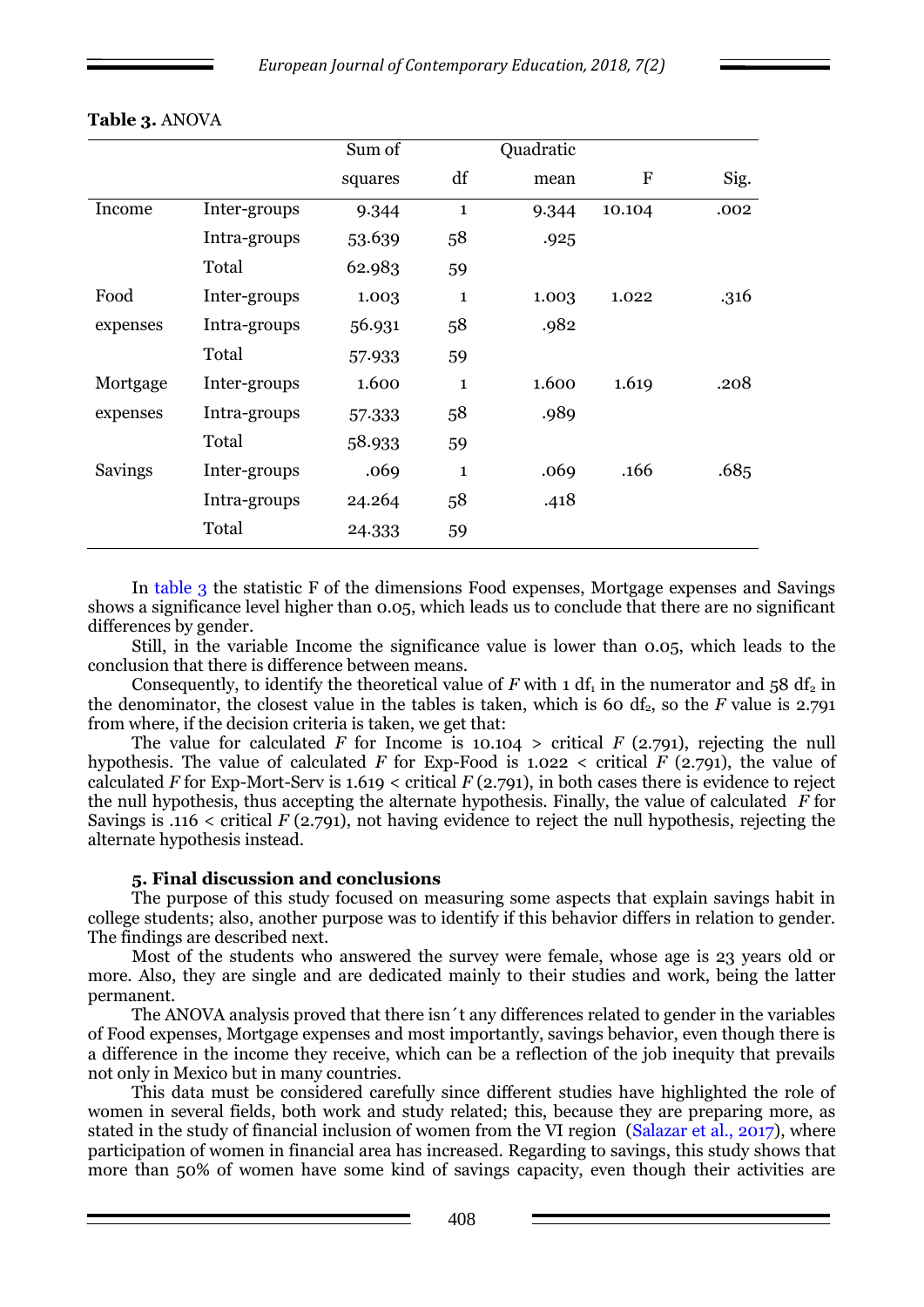|          |              | Sum of  |              | Quadratic |           |      |
|----------|--------------|---------|--------------|-----------|-----------|------|
|          |              | squares | df           | mean      | ${\bf F}$ | Sig. |
| Income   | Inter-groups | 9.344   | $\mathbf{1}$ | 9.344     | 10.104    | .002 |
|          | Intra-groups | 53.639  | 58           | .925      |           |      |
|          | Total        | 62.983  | 59           |           |           |      |
| Food     | Inter-groups | 1.003   | $\mathbf{1}$ | 1.003     | 1.022     | .316 |
| expenses | Intra-groups | 56.931  | 58           | .982      |           |      |
|          | Total        | 57.933  | 59           |           |           |      |
| Mortgage | Inter-groups | 1.600   | $\mathbf{1}$ | 1.600     | 1.619     | .208 |
| expenses | Intra-groups | 57.333  | 58           | .989      |           |      |
|          | Total        | 58.933  | 59           |           |           |      |
| Savings  | Inter-groups | .069    | $\mathbf{1}$ | .069      | .166      | .685 |
|          | Intra-groups | 24.264  | 58           | .418      |           |      |
|          | Total        | 24.333  | 59           |           |           |      |

## **Table 3.** ANOVA

In table 3 the statistic F of the dimensions Food expenses, Mortgage expenses and Savings shows a significance level higher than 0.05, which leads us to conclude that there are no significant differences by gender.

Still, in the variable Income the significance value is lower than 0.05, which leads to the conclusion that there is difference between means.

Consequently, to identify the theoretical value of  $F$  with 1 df<sub>1</sub> in the numerator and 58 df<sub>2</sub> in the denominator, the closest value in the tables is taken, which is 60 df<sub>2</sub>, so the  $F$  value is 2.791 from where, if the decision criteria is taken, we get that:

The value for calculated *F* for Income is 10.104 > critical  $F$  (2.791), rejecting the null hypothesis. The value of calculated *F* for Exp-Food is 1.022  $\lt$  critical *F* (2.791), the value of calculated *F* for Exp-Mort-Serv is 1.619 < critical *F* (2.791), in both cases there is evidence to reject the null hypothesis, thus accepting the alternate hypothesis. Finally, the value of calculated *F* for Savings is .116 < critical *F* (2.791), not having evidence to reject the null hypothesis, rejecting the alternate hypothesis instead.

#### **5. Final discussion and conclusions**

The purpose of this study focused on measuring some aspects that explain savings habit in college students; also, another purpose was to identify if this behavior differs in relation to gender. The findings are described next.

Most of the students who answered the survey were female, whose age is 23 years old or more. Also, they are single and are dedicated mainly to their studies and work, being the latter permanent.

The ANOVA analysis proved that there isn´t any differences related to gender in the variables of Food expenses, Mortgage expenses and most importantly, savings behavior, even though there is a difference in the income they receive, which can be a reflection of the job inequity that prevails not only in Mexico but in many countries.

This data must be considered carefully since different studies have highlighted the role of women in several fields, both work and study related; this, because they are preparing more, as stated in the study of financial inclusion of women from the VI region (Salazar et al., 2017), where participation of women in financial area has increased. Regarding to savings, this study shows that more than 50% of women have some kind of savings capacity, even though their activities are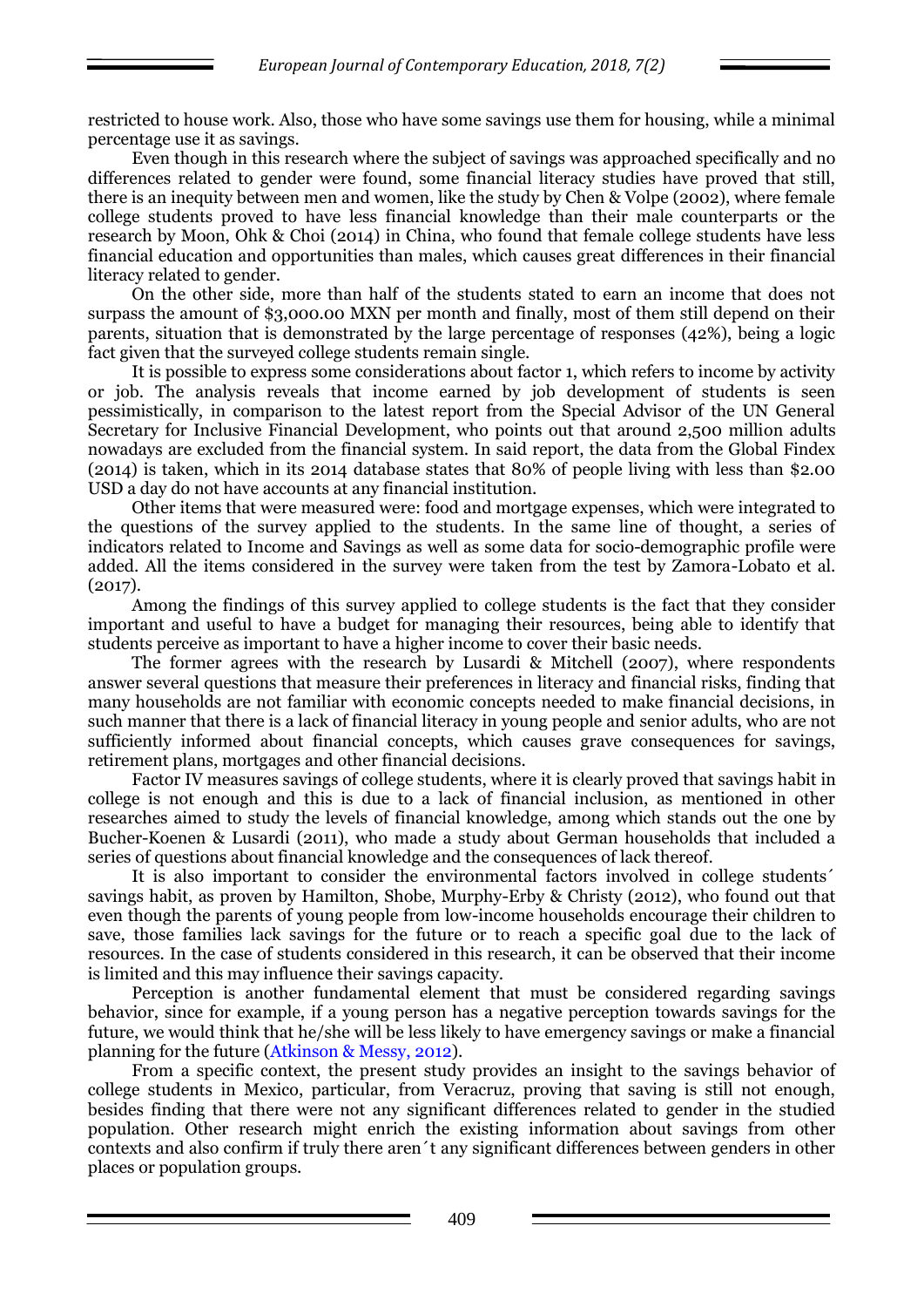restricted to house work. Also, those who have some savings use them for housing, while a minimal percentage use it as savings.

Even though in this research where the subject of savings was approached specifically and no differences related to gender were found, some financial literacy studies have proved that still, there is an inequity between men and women, like the study by Chen & Volpe (2002), where female college students proved to have less financial knowledge than their male counterparts or the research by Moon, Ohk & Choi (2014) in China, who found that female college students have less financial education and opportunities than males, which causes great differences in their financial literacy related to gender.

On the other side, more than half of the students stated to earn an income that does not surpass the amount of \$3,000.00 MXN per month and finally, most of them still depend on their parents, situation that is demonstrated by the large percentage of responses (42%), being a logic fact given that the surveyed college students remain single.

It is possible to express some considerations about factor 1, which refers to income by activity or job. The analysis reveals that income earned by job development of students is seen pessimistically, in comparison to the latest report from the Special Advisor of the UN General Secretary for Inclusive Financial Development, who points out that around 2,500 million adults nowadays are excluded from the financial system. In said report, the data from the Global Findex (2014) is taken, which in its 2014 database states that 80% of people living with less than \$2.00 USD a day do not have accounts at any financial institution.

Other items that were measured were: food and mortgage expenses, which were integrated to the questions of the survey applied to the students. In the same line of thought, a series of indicators related to Income and Savings as well as some data for socio-demographic profile were added. All the items considered in the survey were taken from the test by Zamora-Lobato et al. (2017).

Among the findings of this survey applied to college students is the fact that they consider important and useful to have a budget for managing their resources, being able to identify that students perceive as important to have a higher income to cover their basic needs.

The former agrees with the research by Lusardi & Mitchell (2007), where respondents answer several questions that measure their preferences in literacy and financial risks, finding that many households are not familiar with economic concepts needed to make financial decisions, in such manner that there is a lack of financial literacy in young people and senior adults, who are not sufficiently informed about financial concepts, which causes grave consequences for savings, retirement plans, mortgages and other financial decisions.

Factor IV measures savings of college students, where it is clearly proved that savings habit in college is not enough and this is due to a lack of financial inclusion, as mentioned in other researches aimed to study the levels of financial knowledge, among which stands out the one by Bucher-Koenen & Lusardi (2011), who made a study about German households that included a series of questions about financial knowledge and the consequences of lack thereof.

It is also important to consider the environmental factors involved in college students´ savings habit, as proven by Hamilton, Shobe, Murphy-Erby & Christy (2012), who found out that even though the parents of young people from low-income households encourage their children to save, those families lack savings for the future or to reach a specific goal due to the lack of resources. In the case of students considered in this research, it can be observed that their income is limited and this may influence their savings capacity.

Perception is another fundamental element that must be considered regarding savings behavior, since for example, if a young person has a negative perception towards savings for the future, we would think that he/she will be less likely to have emergency savings or make a financial planning for the future (Atkinson & Messy, 2012).

From a specific context, the present study provides an insight to the savings behavior of college students in Mexico, particular, from Veracruz, proving that saving is still not enough, besides finding that there were not any significant differences related to gender in the studied population. Other research might enrich the existing information about savings from other contexts and also confirm if truly there aren´t any significant differences between genders in other places or population groups.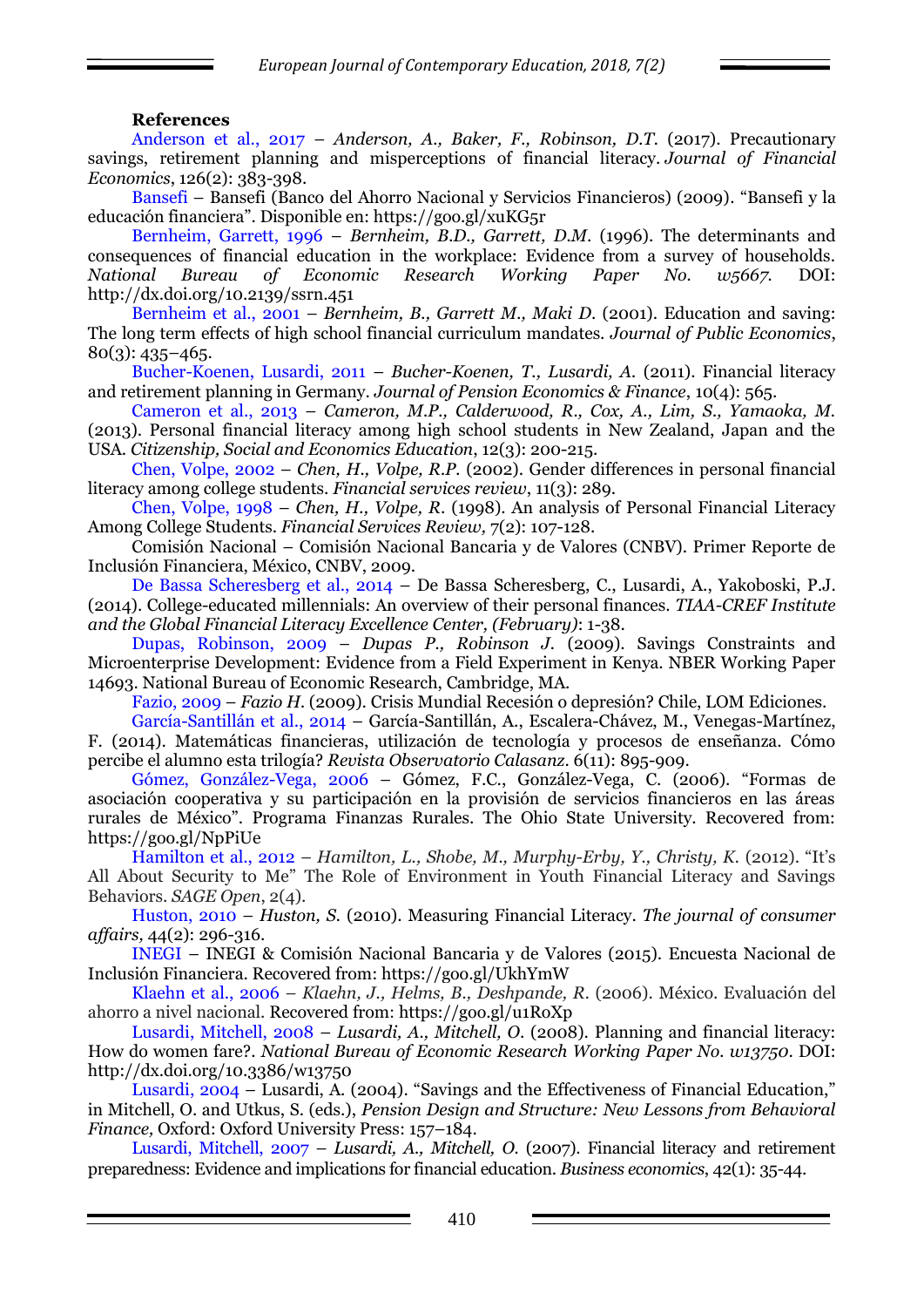#### **References**

Anderson et al., 2017 – *Anderson, A., Baker, F., Robinson, D.T.* (2017). Precautionary savings, retirement planning and misperceptions of financial literacy. *Journal of Financial Economics*, 126(2): 383-398.

Bansefi – Bansefi (Banco del Ahorro Nacional y Servicios Financieros) (2009). "Bansefi y la educación financiera". Disponible en: https://goo.gl/xuKG5r

Bernheim, Garrett, 1996 – *Bernheim, B.D., Garrett, D.M*. (1996). The determinants and consequences of financial education in the workplace: Evidence from a survey of households. *National Bureau of Economic Research Working Paper No. w5667.* DOI: http://dx.doi.org/10.2139/ssrn.451

Bernheim et al., 2001 – *Bernheim, B., Garrett M., Maki D*. (2001). Education and saving: The long term effects of high school financial curriculum mandates. *Journal of Public Economics*, 80(3): 435–465.

Bucher-Koenen, Lusardi, 2011 – *Bucher-Koenen, T., Lusardi, A.* (2011). Financial literacy and retirement planning in Germany. *Journal of Pension Economics & Finance*, 10(4): 565.

Cameron et al., 2013 – *Cameron, M.P., Calderwood, R., Cox, A., Lim, S., Yamaoka, M.* (2013). Personal financial literacy among high school students in New Zealand, Japan and the USA. *Citizenship, Social and Economics Education*, 12(3): 200-215.

Chen, Volpe, 2002 – *Chen, H., Volpe, R.P.* (2002). Gender differences in personal financial literacy among college students. *Financial services review*, 11(3): 289.

Chen, Volpe, 1998 – *Chen, H., Volpe, R*. (1998). An analysis of Personal Financial Literacy Among College Students. *Financial Services Review,* 7(2): 107-128.

Comisión Nacional – Comisión Nacional Bancaria y de Valores (CNBV). Primer Reporte de Inclusión Financiera, México, CNBV, 2009.

De Bassa Scheresberg et al., 2014 – De Bassa Scheresberg, C., Lusardi, A., Yakoboski, P.J. (2014). College-educated millennials: An overview of their personal finances. *TIAA-CREF Institute and the Global Financial Literacy Excellence Center, (February)*: 1-38.

Dupas, Robinson, 2009 – *Dupas P., Robinson J.* (2009). Savings Constraints and Microenterprise Development: Evidence from a Field Experiment in Kenya. NBER Working Paper 14693. National Bureau of Economic Research, Cambridge, MA.

Fazio, 2009 – *Fazio H.* (2009). Crisis Mundial Recesión o depresión? Chile, LOM Ediciones.

García-Santillán et al., 2014 – García-Santillán, A., Escalera-Chávez, M., Venegas-Martínez, F. (2014). Matemáticas financieras, utilización de tecnología y procesos de enseñanza. Cómo percibe el alumno esta trilogía? *Revista Observatorio Calasanz*. 6(11): 895-909.

Gómez, González-Vega, 2006 – Gómez, F.C., González-Vega, C. (2006). "Formas de asociación cooperativa y su participación en la provisión de servicios financieros en las áreas rurales de México". Programa Finanzas Rurales. The Ohio State University. Recovered from: https://goo.gl/NpPiUe

Hamilton et al., 2012 – *Hamilton, L., Shobe, M., Murphy-Erby, Y., Christy, K.* (2012). "It's All About Security to Me" The Role of Environment in Youth Financial Literacy and Savings Behaviors. *SAGE Open*, 2(4).

Huston, 2010 – *Huston, S.* (2010). Measuring Financial Literacy. *The journal of consumer affairs,* 44(2): 296-316.

INEGI – INEGI & Comisión Nacional Bancaria y de Valores (2015). Encuesta Nacional de Inclusión Financiera. Recovered from: https://goo.gl/UkhYmW

Klaehn et al., 2006 – *Klaehn, J., Helms, B., Deshpande, R.* (2006). México. Evaluación del ahorro a nivel nacional. Recovered from: https://goo.gl/u1RoXp

Lusardi, Mitchell, 2008 – *Lusardi, A., Mitchell, O*. (2008). Planning and financial literacy: How do women fare?. *National Bureau of Economic Research Working Paper No. w13750*. DOI: http://dx.doi.org/10.3386/w13750

Lusardi, 2004 – Lusardi, A. (2004). "Savings and the Effectiveness of Financial Education," in Mitchell, O. and Utkus, S. (eds.), *Pension Design and Structure: New Lessons from Behavioral Finance,* Oxford: Oxford University Press: 157–184.

Lusardi, Mitchell, 2007 – *Lusardi, A., Mitchell, O.* (2007). Financial literacy and retirement preparedness: Evidence and implications for financial education. *Business economics*, 42(1): 35-44.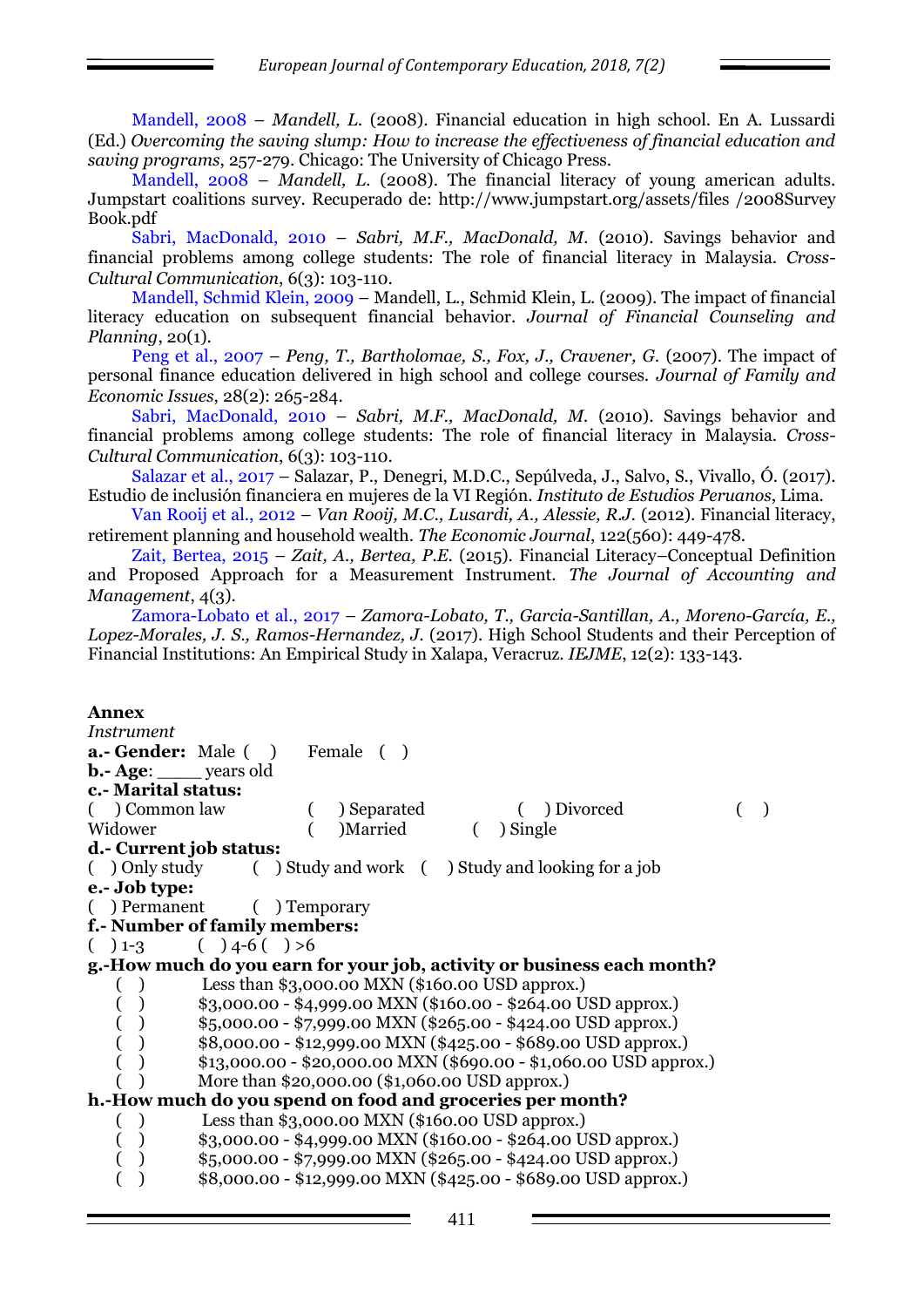Mandell, 2008 – *Mandell, L.* (2008). Financial education in high school. En A. Lussardi (Ed.) *Overcoming the saving slump: How to increase the effectiveness of financial education and saving programs*, 257-279. Chicago: The University of Chicago Press.

Mandell, 2008 – *Mandell, L.* (2008). The financial literacy of young american adults. Jumpstart coalitions survey. Recuperado de: http://www.jumpstart.org/assets/files /2008Survey Book.pdf

Sabri, MacDonald, 2010 – *Sabri, M.F., MacDonald, M.* (2010). Savings behavior and financial problems among college students: The role of financial literacy in Malaysia. *Cross-Cultural Communication*, 6(3): 103-110.

Mandell, Schmid Klein, 2009 – Mandell, L., Schmid Klein, L. (2009). The impact of financial literacy education on subsequent financial behavior. *Journal of Financial Counseling and Planning*, 20(1).

Peng et al., 2007 – *Peng, T., Bartholomae, S., Fox, J., Cravener, G.* (2007). The impact of personal finance education delivered in high school and college courses. *Journal of Family and Economic Issues*, 28(2): 265-284.

Sabri, MacDonald, 2010 – *Sabri, M.F., MacDonald, M.* (2010). Savings behavior and financial problems among college students: The role of financial literacy in Malaysia. *Cross-Cultural Communication*, 6(3): 103-110.

Salazar et al., 2017 – Salazar, P., Denegri, M.D.C., Sepúlveda, J., Salvo, S., Vivallo, Ó. (2017). Estudio de inclusión financiera en mujeres de la VI Región. *Instituto de Estudios Peruanos*, Lima.

Van Rooij et al., 2012 – *Van Rooij, M.C., Lusardi, A., Alessie, R.J.* (2012). Financial literacy, retirement planning and household wealth. *The Economic Journal*, 122(560): 449-478.

Zait, Bertea, 2015 – *Zait, A., Bertea, P.E.* (2015). Financial Literacy–Conceptual Definition and Proposed Approach for a Measurement Instrument. *The Journal of Accounting and Management*, 4(3).

Zamora-Lobato et al., 2017 – *Zamora-Lobato, T., Garcia-Santillan, A., Moreno-García, E.,*  Lopez-Morales, J. S., Ramos-Hernandez, J. (2017). High School Students and their Perception of Financial Institutions: An Empirical Study in Xalapa, Veracruz. *IEJME*, 12(2): 133-143.

#### **Annex**

*Instrument* **a.- Gender:** Male ( ) Female ( ) **b.- Age**: \_\_\_\_ years old **c.- Marital status:** ( ) Common law ( ) Separated ( ) Divorced ( ) Widower ( )Married ( ) Single **d.- Current job status:** ( ) Only study ( ) Study and work ( ) Study and looking for a job **e.- Job type:** ( ) Permanent ( ) Temporary **f.- Number of family members:**  $( ) 1-3 ( ) 4-6 ( ) >6$ **g.-How much do you earn for your job, activity or business each month?**  ( ) Less than \$3,000.00 MXN (\$160.00 USD approx.)  $\qquad \qquad (\quad ) \qquad $3,000.00 - $4,999.00 \text{ MXN ($160.00 - $264.00 \text{ USD approx.})}$ ( )  $$5,000.00 - $7,999.00$  MXN (\$265.00 - \$424.00 USD approx.) ( )  $$8,000.00 - $12,999.00$  MXN (\$425.00 - \$689.00 USD approx.)  $($ )  $\qquad$  \$13,000.00 - \$20,000.00 MXN (\$690.00 - \$1,060.00 USD approx.) ( ) More than \$20,000.00 (\$1,060.00 USD approx.) **h.-How much do you spend on food and groceries per month?**  ( ) Less than \$3,000.00 MXN (\$160.00 USD approx.) ( )  $$3,000.00 - $4,999.00$  MXN (\$160.00 - \$264.00 USD approx.) ( )  $$5,000.00 - $7,999.00$  MXN (\$265.00 - \$424.00 USD approx.)  $\left( \begin{array}{c} \end{array} \right)$  \$8,000.00 - \$12,999.00 MXN (\$425.00 - \$689.00 USD approx.)